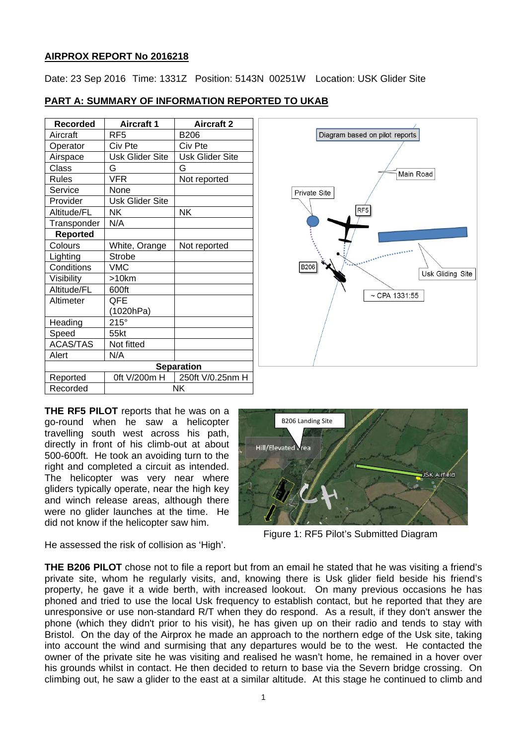## **AIRPROX REPORT No 2016218**

Date: 23 Sep 2016 Time: 1331Z Position: 5143N 00251W Location: USK Glider Site

## **PART A: SUMMARY OF INFORMATION REPORTED TO UKAB**

| <b>Recorded</b>   | <b>Aircraft 1</b>      | <b>Aircraft 2</b>      |
|-------------------|------------------------|------------------------|
| Aircraft          | RF <sub>5</sub>        | <b>B206</b>            |
| Operator          | Civ Pte                | Civ Pte                |
| Airspace          | <b>Usk Glider Site</b> | <b>Usk Glider Site</b> |
| <b>Class</b>      | G                      | G                      |
| <b>Rules</b>      | <b>VFR</b>             | Not reported           |
| Service           | None                   |                        |
| Provider          | Usk Glider Site        |                        |
| Altitude/FL       | <b>NK</b>              | <b>NK</b>              |
| Transponder       | N/A                    |                        |
| <b>Reported</b>   |                        |                        |
| Colours           | White, Orange          | Not reported           |
| Lighting          | <b>Strobe</b>          |                        |
| Conditions        | VMC                    |                        |
| Visibility        | $>10$ km               |                        |
| Altitude/FL       | 600ft                  |                        |
| Altimeter         | <b>QFE</b>             |                        |
|                   | (1020hPa)              |                        |
| Heading           | $215^\circ$            |                        |
| Speed             | 55kt                   |                        |
| <b>ACAS/TAS</b>   | Not fitted             |                        |
| Alert             | N/A                    |                        |
| <b>Separation</b> |                        |                        |
| Reported          | 0ft V/200m H           | 250ft V/0.25nm H       |
| Recorded          | NΚ                     |                        |



**THE RF5 PILOT** reports that he was on a go-round when he saw a helicopter travelling south west across his path, directly in front of his climb-out at about 500-600ft. He took an avoiding turn to the right and completed a circuit as intended. The helicopter was very near where gliders typically operate, near the high key and winch release areas, although there were no glider launches at the time. He did not know if the helicopter saw him.

He assessed the risk of collision as 'High'.



Figure 1: RF5 Pilot's Submitted Diagram

**THE B206 PILOT** chose not to file a report but from an email he stated that he was visiting a friend's private site, whom he regularly visits, and, knowing there is Usk glider field beside his friend's property, he gave it a wide berth, with increased lookout. On many previous occasions he has phoned and tried to use the local Usk frequency to establish contact, but he reported that they are unresponsive or use non-standard R/T when they do respond. As a result, if they don't answer the phone (which they didn't prior to his visit), he has given up on their radio and tends to stay with Bristol. On the day of the Airprox he made an approach to the northern edge of the Usk site, taking into account the wind and surmising that any departures would be to the west. He contacted the owner of the private site he was visiting and realised he wasn't home, he remained in a hover over his grounds whilst in contact. He then decided to return to base via the Severn bridge crossing. On climbing out, he saw a glider to the east at a similar altitude. At this stage he continued to climb and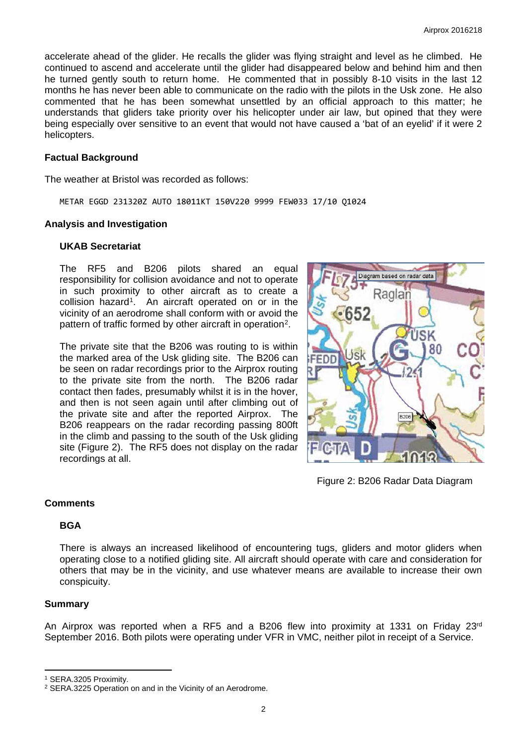accelerate ahead of the glider. He recalls the glider was flying straight and level as he climbed. He continued to ascend and accelerate until the glider had disappeared below and behind him and then he turned gently south to return home. He commented that in possibly 8-10 visits in the last 12 months he has never been able to communicate on the radio with the pilots in the Usk zone. He also commented that he has been somewhat unsettled by an official approach to this matter; he understands that gliders take priority over his helicopter under air law, but opined that they were being especially over sensitive to an event that would not have caused a 'bat of an eyelid' if it were 2 helicopters.

#### **Factual Background**

The weather at Bristol was recorded as follows:

METAR EGGD 231320Z AUTO 18011KT 150V220 9999 FEW033 17/10 Q1024

#### **Analysis and Investigation**

#### **UKAB Secretariat**

The RF5 and B206 pilots shared an equal responsibility for collision avoidance and not to operate in such proximity to other aircraft as to create a collision hazard<sup>[1](#page-1-0)</sup>. An aircraft operated on or in the vicinity of an aerodrome shall conform with or avoid the pattern of traffic formed by other aircraft in operation<sup>2</sup>.

The private site that the B206 was routing to is within the marked area of the Usk gliding site. The B206 can be seen on radar recordings prior to the Airprox routing to the private site from the north. The B206 radar contact then fades, presumably whilst it is in the hover, and then is not seen again until after climbing out of the private site and after the reported Airprox. The B206 reappears on the radar recording passing 800ft in the climb and passing to the south of the Usk gliding site (Figure 2). The RF5 does not display on the radar recordings at all.



Figure 2: B206 Radar Data Diagram

## **Comments**

## **BGA**

There is always an increased likelihood of encountering tugs, gliders and motor gliders when operating close to a notified gliding site. All aircraft should operate with care and consideration for others that may be in the vicinity, and use whatever means are available to increase their own conspicuity.

#### **Summary**

 $\overline{a}$ 

An Airprox was reported when a RF5 and a B206 flew into proximity at 1331 on Friday 23<sup>rd</sup> September 2016. Both pilots were operating under VFR in VMC, neither pilot in receipt of a Service.

<span id="page-1-0"></span><sup>1</sup> SERA.3205 Proximity.

<span id="page-1-1"></span><sup>2</sup> SERA.3225 Operation on and in the Vicinity of an Aerodrome.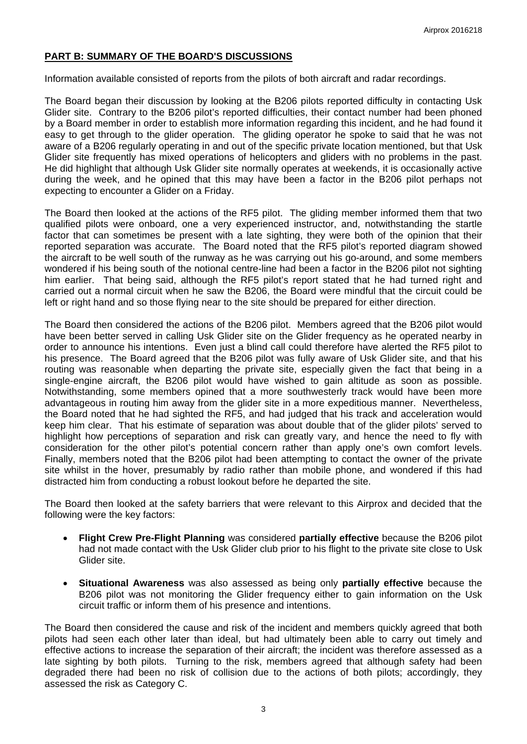## **PART B: SUMMARY OF THE BOARD'S DISCUSSIONS**

Information available consisted of reports from the pilots of both aircraft and radar recordings.

The Board began their discussion by looking at the B206 pilots reported difficulty in contacting Usk Glider site. Contrary to the B206 pilot's reported difficulties, their contact number had been phoned by a Board member in order to establish more information regarding this incident, and he had found it easy to get through to the glider operation. The gliding operator he spoke to said that he was not aware of a B206 regularly operating in and out of the specific private location mentioned, but that Usk Glider site frequently has mixed operations of helicopters and gliders with no problems in the past. He did highlight that although Usk Glider site normally operates at weekends, it is occasionally active during the week, and he opined that this may have been a factor in the B206 pilot perhaps not expecting to encounter a Glider on a Friday.

The Board then looked at the actions of the RF5 pilot. The gliding member informed them that two qualified pilots were onboard, one a very experienced instructor, and, notwithstanding the startle factor that can sometimes be present with a late sighting, they were both of the opinion that their reported separation was accurate. The Board noted that the RF5 pilot's reported diagram showed the aircraft to be well south of the runway as he was carrying out his go-around, and some members wondered if his being south of the notional centre-line had been a factor in the B206 pilot not sighting him earlier. That being said, although the RF5 pilot's report stated that he had turned right and carried out a normal circuit when he saw the B206, the Board were mindful that the circuit could be left or right hand and so those flying near to the site should be prepared for either direction.

The Board then considered the actions of the B206 pilot. Members agreed that the B206 pilot would have been better served in calling Usk Glider site on the Glider frequency as he operated nearby in order to announce his intentions. Even just a blind call could therefore have alerted the RF5 pilot to his presence. The Board agreed that the B206 pilot was fully aware of Usk Glider site, and that his routing was reasonable when departing the private site, especially given the fact that being in a single-engine aircraft, the B206 pilot would have wished to gain altitude as soon as possible. Notwithstanding, some members opined that a more southwesterly track would have been more advantageous in routing him away from the glider site in a more expeditious manner. Nevertheless, the Board noted that he had sighted the RF5, and had judged that his track and acceleration would keep him clear. That his estimate of separation was about double that of the glider pilots' served to highlight how perceptions of separation and risk can greatly vary, and hence the need to fly with consideration for the other pilot's potential concern rather than apply one's own comfort levels. Finally, members noted that the B206 pilot had been attempting to contact the owner of the private site whilst in the hover, presumably by radio rather than mobile phone, and wondered if this had distracted him from conducting a robust lookout before he departed the site.

The Board then looked at the safety barriers that were relevant to this Airprox and decided that the following were the key factors:

- **Flight Crew Pre-Flight Planning** was considered **partially effective** because the B206 pilot had not made contact with the Usk Glider club prior to his flight to the private site close to Usk Glider site.
- **Situational Awareness** was also assessed as being only **partially effective** because the B206 pilot was not monitoring the Glider frequency either to gain information on the Usk circuit traffic or inform them of his presence and intentions.

The Board then considered the cause and risk of the incident and members quickly agreed that both pilots had seen each other later than ideal, but had ultimately been able to carry out timely and effective actions to increase the separation of their aircraft; the incident was therefore assessed as a late sighting by both pilots. Turning to the risk, members agreed that although safety had been degraded there had been no risk of collision due to the actions of both pilots; accordingly, they assessed the risk as Category C.